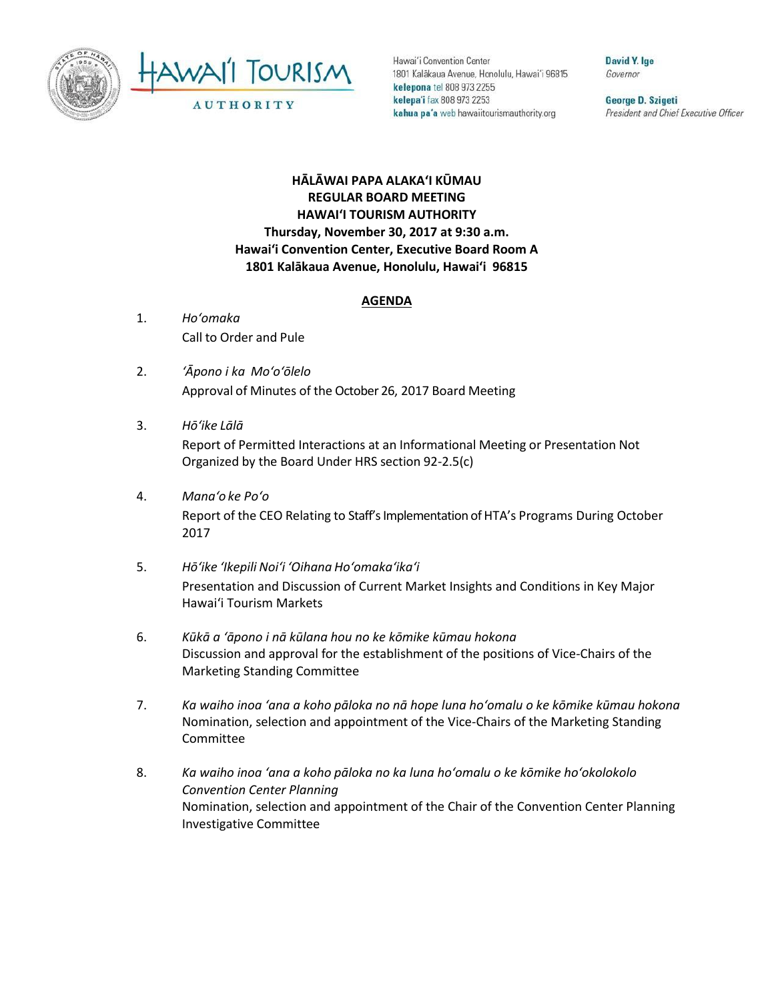



Hawai'i Convention Center 1801 Kalakaua Avenue, Honolulu, Hawai'i 96815 kelepona tel 808 973 2255 kelepa'i fax 808 973 2253 kahua pa'a web hawaiitourismauthority.org

David Y. Ige Governor

George D. Szigeti President and Chief Executive Officer

## **HĀLĀWAI PAPA ALAKAʻI KŪMAU REGULAR BOARD MEETING HAWAI'I TOURISM AUTHORITY Thursday, November 30, 2017 at 9:30 a.m. Hawai'i Convention Center, Executive Board Room A 1801 Kalākaua Avenue, Honolulu, Hawai'i 96815**

## **AGENDA**

- 1. *Ho'omaka* Call to Order and Pule
- 2. *ʻĀpono i ka Mo'o'ōlelo* Approval of Minutes of the October 26, 2017 Board Meeting
- 3. *Hō'ike Lālā* Report of Permitted Interactions at an Informational Meeting or Presentation Not Organized by the Board Under HRS section 92-2.5(c)
- 4. *Mana'o ke Poʻo* Report of the CEO Relating to Staff's Implementation of HTA's Programs During October 2017
- 5. *Hō'ike 'Ikepili Noi'i 'Oihana Ho'omaka'ika'i* Presentation and Discussion of Current Market Insights and Conditions in Key Major Hawai'i Tourism Markets
- 6. *Kūkā a ʻāpono i nā kūlana hou no ke kōmike kūmau hokona* Discussion and approval for the establishment of the positions of Vice-Chairs of the Marketing Standing Committee
- 7. *Ka waiho inoa 'ana a koho pāloka no nā hope luna ho'omalu o ke kōmike kūmau hokona* Nomination, selection and appointment of the Vice-Chairs of the Marketing Standing Committee
- 8. *Ka waiho inoa 'ana a koho pāloka no ka luna ho'omalu o ke kōmike ho'okolokolo Convention Center Planning* Nomination, selection and appointment of the Chair of the Convention Center Planning Investigative Committee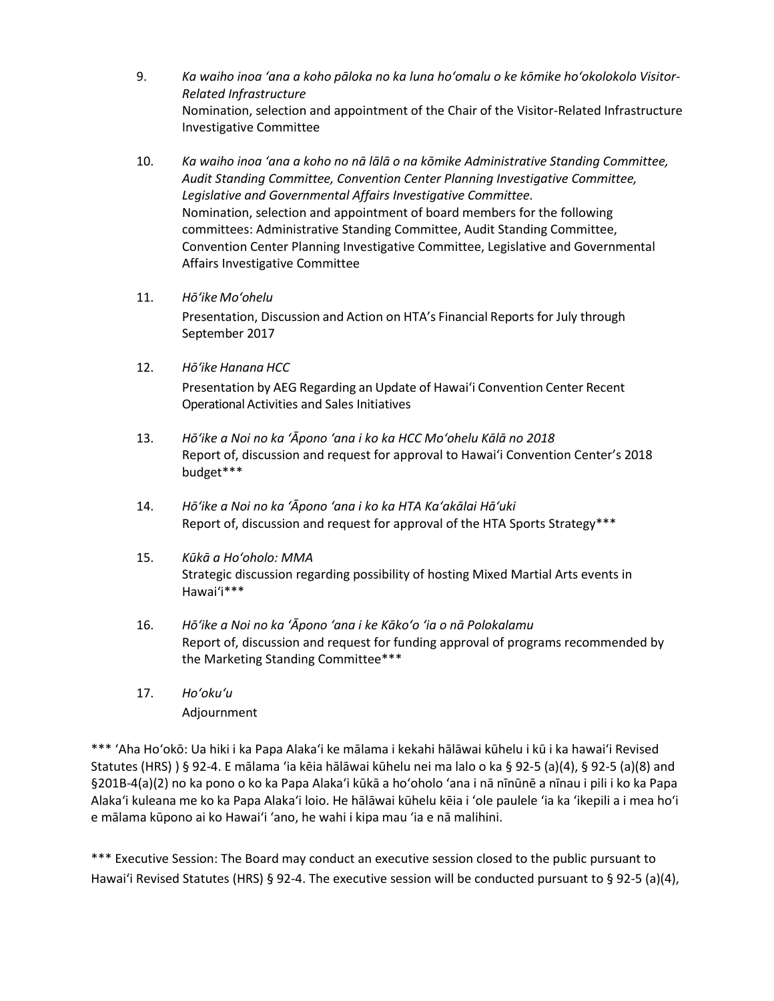- 9. *Ka waiho inoa 'ana a koho pāloka no ka luna ho'omalu o ke kōmike ho'okolokolo Visitor-Related Infrastructure* Nomination, selection and appointment of the Chair of the Visitor-Related Infrastructure Investigative Committee
- 10. *Ka waiho inoa 'ana a koho no nā lālā o na kōmike Administrative Standing Committee, Audit Standing Committee, Convention Center Planning Investigative Committee, Legislative and Governmental Affairs Investigative Committee.* Nomination, selection and appointment of board members for the following committees: Administrative Standing Committee, Audit Standing Committee, Convention Center Planning Investigative Committee, Legislative and Governmental Affairs Investigative Committee
- 11. *Hō'ike Mo'ohelu*

Presentation, Discussion and Action on HTA's Financial Reports for July through September 2017

- 12. *Hōʻike Hanana HCC* Presentation by AEG Regarding an Update of Hawai'i Convention Center Recent Operational Activities and Sales Initiatives
- 13. *Hōʻike a Noi no ka ʻĀpono ʻana i ko ka HCC Moʻohelu Kālā no 2018*  Report of, discussion and request for approval to Hawai'i Convention Center's 2018 budget\*\*\*
- 14. *Hōʻike a Noi no ka ʻĀpono ʻana i ko ka HTA Kaʻakālai Hāʻuki* Report of, discussion and request for approval of the HTA Sports Strategy\*\*\*
- 15. *Kūkā a Hoʻoholo: MMA* Strategic discussion regarding possibility of hosting Mixed Martial Arts events in Hawai'i\*\*\*
- 16. *Hōʻike a Noi no ka ʻĀpono ʻana i ke Kākoʻo ʻia o nā Polokalamu* Report of, discussion and request for funding approval of programs recommended by the Marketing Standing Committee\*\*\*
- 17. *Ho'oku'u* Adjournment

\*\*\* ʻAha Hoʻokō: Ua hiki i ka Papa Alakaʻi ke mālama i kekahi hālāwai kūhelu i kū i ka hawaiʻi Revised Statutes (HRS) ) § 92-4. E mālama ʻia kēia hālāwai kūhelu nei ma lalo o ka § 92-5 (a)(4), § 92-5 (a)(8) and §201B-4(a)(2) no ka pono o ko ka Papa Alakaʻi kūkā a hoʻoholo ʻana i nā nīnūnē a nīnau i pili i ko ka Papa Alakaʻi kuleana me ko ka Papa Alakaʻi loio. He hālāwai kūhelu kēia i ʻole paulele ʻia ka ʻikepili a i mea hoʻi e mālama kūpono ai ko Hawaiʻi ʻano, he wahi i kipa mau ʻia e nā malihini.

\*\*\* Executive Session: The Board may conduct an executive session closed to the public pursuant to Hawai'i Revised Statutes (HRS) § 92-4. The executive session will be conducted pursuant to § 92-5 (a)(4),